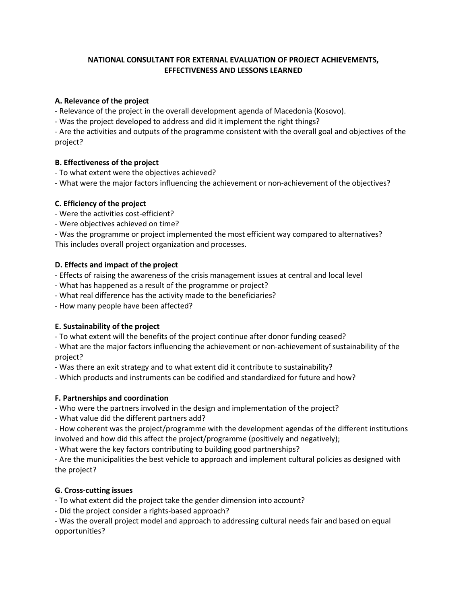## **NATIONAL CONSULTANT FOR EXTERNAL EVALUATION OF PROJECT ACHIEVEMENTS, EFFECTIVENESS AND LESSONS LEARNED**

### **A. Relevance of the project**

- Relevance of the project in the overall development agenda of Macedonia (Kosovo).

- Was the project developed to address and did it implement the right things?

- Are the activities and outputs of the programme consistent with the overall goal and objectives of the project?

## **B. Effectiveness of the project**

- To what extent were the objectives achieved?

- What were the major factors influencing the achievement or non-achievement of the objectives?

## **C. Efficiency of the project**

- Were the activities cost-efficient?

- Were objectives achieved on time?

- Was the programme or project implemented the most efficient way compared to alternatives? This includes overall project organization and processes.

## **D. Effects and impact of the project**

- Effects of raising the awareness of the crisis management issues at central and local level

- What has happened as a result of the programme or project?
- What real difference has the activity made to the beneficiaries?

- How many people have been affected?

# **E. Sustainability of the project**

- To what extent will the benefits of the project continue after donor funding ceased?

- What are the major factors influencing the achievement or non-achievement of sustainability of the project?

- Was there an exit strategy and to what extent did it contribute to sustainability?

- Which products and instruments can be codified and standardized for future and how?

# **F. Partnerships and coordination**

- Who were the partners involved in the design and implementation of the project?

- What value did the different partners add?

- How coherent was the project/programme with the development agendas of the different institutions involved and how did this affect the project/programme (positively and negatively);

- What were the key factors contributing to building good partnerships?

- Are the municipalities the best vehicle to approach and implement cultural policies as designed with the project?

# **G. Cross-cutting issues**

- To what extent did the project take the gender dimension into account?

- Did the project consider a rights-based approach?

- Was the overall project model and approach to addressing cultural needs fair and based on equal opportunities?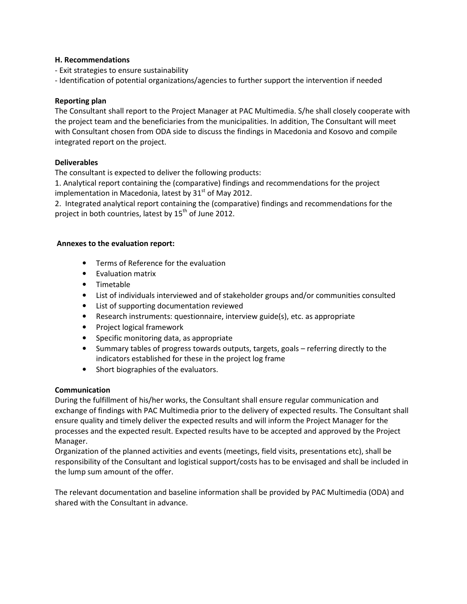#### **H. Recommendations**

- Exit strategies to ensure sustainability

- Identification of potential organizations/agencies to further support the intervention if needed

### **Reporting plan**

The Consultant shall report to the Project Manager at PAC Multimedia. S/he shall closely cooperate with the project team and the beneficiaries from the municipalities. In addition, The Consultant will meet with Consultant chosen from ODA side to discuss the findings in Macedonia and Kosovo and compile integrated report on the project.

### **Deliverables**

The consultant is expected to deliver the following products:

1. Analytical report containing the (comparative) findings and recommendations for the project implementation in Macedonia, latest by  $31<sup>st</sup>$  of May 2012.

2. Integrated analytical report containing the (comparative) findings and recommendations for the project in both countries, latest by  $15<sup>th</sup>$  of June 2012.

#### **Annexes to the evaluation report:**

- Terms of Reference for the evaluation
- Evaluation matrix
- Timetable
- List of individuals interviewed and of stakeholder groups and/or communities consulted
- List of supporting documentation reviewed
- Research instruments: questionnaire, interview guide(s), etc. as appropriate
- Project logical framework
- Specific monitoring data, as appropriate
- Summary tables of progress towards outputs, targets, goals referring directly to the indicators established for these in the project log frame
- Short biographies of the evaluators.

### **Communication**

During the fulfillment of his/her works, the Consultant shall ensure regular communication and exchange of findings with PAC Multimedia prior to the delivery of expected results. The Consultant shall ensure quality and timely deliver the expected results and will inform the Project Manager for the processes and the expected result. Expected results have to be accepted and approved by the Project Manager.

Organization of the planned activities and events (meetings, field visits, presentations etc), shall be responsibility of the Consultant and logistical support/costs has to be envisaged and shall be included in the lump sum amount of the offer.

The relevant documentation and baseline information shall be provided by PAC Multimedia (ODA) and shared with the Consultant in advance.